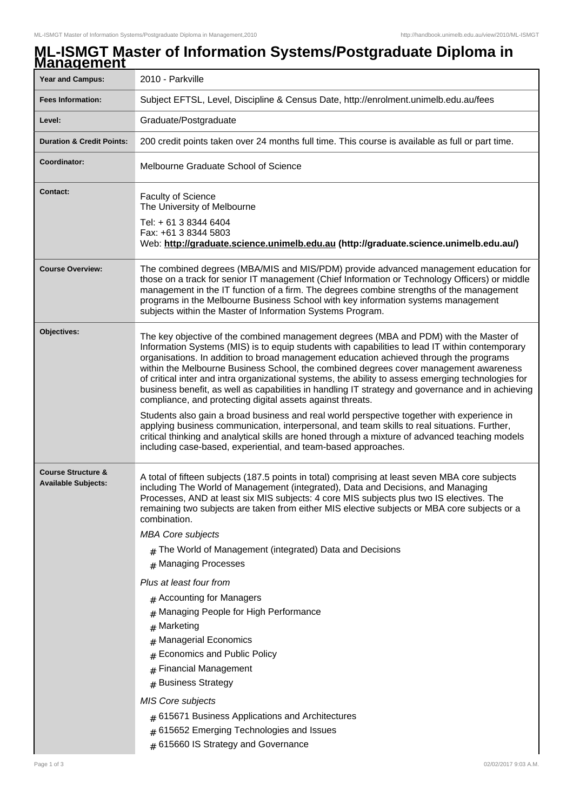## **ML-ISMGT Master of Information Systems/Postgraduate Diploma in Management**

| <u>шаначынын </u><br><b>Year and Campus:</b>                | 2010 - Parkville                                                                                                                                                                                                                                                                                                                                                                                                                                                                                                                                                                                                                                                                                                                                                                                                                                                                                                                                                                                                         |
|-------------------------------------------------------------|--------------------------------------------------------------------------------------------------------------------------------------------------------------------------------------------------------------------------------------------------------------------------------------------------------------------------------------------------------------------------------------------------------------------------------------------------------------------------------------------------------------------------------------------------------------------------------------------------------------------------------------------------------------------------------------------------------------------------------------------------------------------------------------------------------------------------------------------------------------------------------------------------------------------------------------------------------------------------------------------------------------------------|
| <b>Fees Information:</b>                                    | Subject EFTSL, Level, Discipline & Census Date, http://enrolment.unimelb.edu.au/fees                                                                                                                                                                                                                                                                                                                                                                                                                                                                                                                                                                                                                                                                                                                                                                                                                                                                                                                                     |
| Level:                                                      | Graduate/Postgraduate                                                                                                                                                                                                                                                                                                                                                                                                                                                                                                                                                                                                                                                                                                                                                                                                                                                                                                                                                                                                    |
|                                                             |                                                                                                                                                                                                                                                                                                                                                                                                                                                                                                                                                                                                                                                                                                                                                                                                                                                                                                                                                                                                                          |
| <b>Duration &amp; Credit Points:</b>                        | 200 credit points taken over 24 months full time. This course is available as full or part time.                                                                                                                                                                                                                                                                                                                                                                                                                                                                                                                                                                                                                                                                                                                                                                                                                                                                                                                         |
| Coordinator:                                                | Melbourne Graduate School of Science                                                                                                                                                                                                                                                                                                                                                                                                                                                                                                                                                                                                                                                                                                                                                                                                                                                                                                                                                                                     |
| <b>Contact:</b>                                             | <b>Faculty of Science</b><br>The University of Melbourne                                                                                                                                                                                                                                                                                                                                                                                                                                                                                                                                                                                                                                                                                                                                                                                                                                                                                                                                                                 |
|                                                             | Tel: + 61 3 8344 6404<br>Fax: +61 3 8344 5803<br>Web: http://graduate.science.unimelb.edu.au (http://graduate.science.unimelb.edu.au/)                                                                                                                                                                                                                                                                                                                                                                                                                                                                                                                                                                                                                                                                                                                                                                                                                                                                                   |
| <b>Course Overview:</b>                                     | The combined degrees (MBA/MIS and MIS/PDM) provide advanced management education for<br>those on a track for senior IT management (Chief Information or Technology Officers) or middle<br>management in the IT function of a firm. The degrees combine strengths of the management<br>programs in the Melbourne Business School with key information systems management<br>subjects within the Master of Information Systems Program.                                                                                                                                                                                                                                                                                                                                                                                                                                                                                                                                                                                    |
| Objectives:                                                 | The key objective of the combined management degrees (MBA and PDM) with the Master of<br>Information Systems (MIS) is to equip students with capabilities to lead IT within contemporary<br>organisations. In addition to broad management education achieved through the programs<br>within the Melbourne Business School, the combined degrees cover management awareness<br>of critical inter and intra organizational systems, the ability to assess emerging technologies for<br>business benefit, as well as capabilities in handling IT strategy and governance and in achieving<br>compliance, and protecting digital assets against threats.<br>Students also gain a broad business and real world perspective together with experience in<br>applying business communication, interpersonal, and team skills to real situations. Further,<br>critical thinking and analytical skills are honed through a mixture of advanced teaching models<br>including case-based, experiential, and team-based approaches. |
| <b>Course Structure &amp;</b><br><b>Available Subjects:</b> | A total of fifteen subjects (187.5 points in total) comprising at least seven MBA core subjects<br>including The World of Management (integrated), Data and Decisions, and Managing<br>Processes, AND at least six MIS subjects: 4 core MIS subjects plus two IS electives. The<br>remaining two subjects are taken from either MIS elective subjects or MBA core subjects or a<br>combination.<br><b>MBA Core subjects</b><br>$#$ The World of Management (integrated) Data and Decisions<br># Managing Processes<br>Plus at least four from<br># Accounting for Managers<br># Managing People for High Performance<br>Marketing<br>#<br><b>Managerial Economics</b><br>#<br><b>Economics and Public Policy</b><br># Financial Management<br># Business Strategy<br>MIS Core subjects<br>$#$ 615671 Business Applications and Architectures<br>$#$ 615652 Emerging Technologies and Issues<br># 615660 IS Strategy and Governance                                                                                       |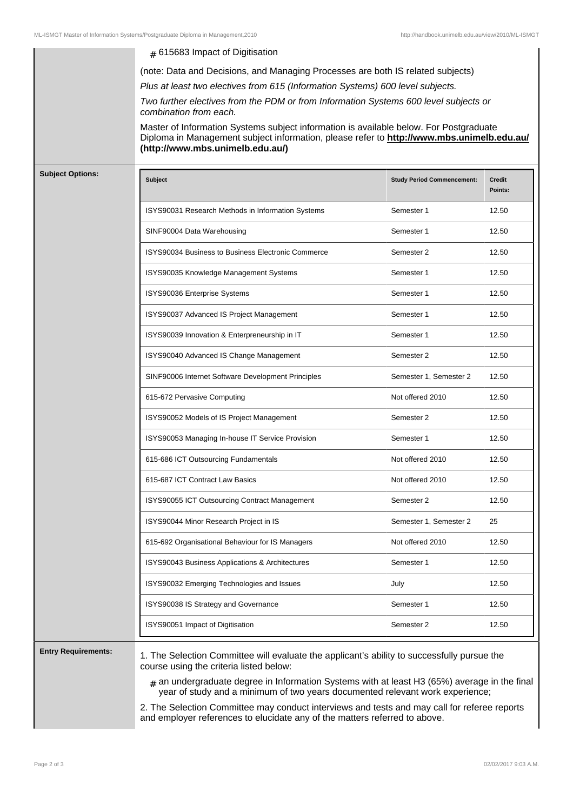|                         | (note: Data and Decisions, and Managing Processes are both IS related subjects)                                                                                                                                         |                                   |                          |
|-------------------------|-------------------------------------------------------------------------------------------------------------------------------------------------------------------------------------------------------------------------|-----------------------------------|--------------------------|
|                         | Plus at least two electives from 615 (Information Systems) 600 level subjects.                                                                                                                                          |                                   |                          |
|                         | Two further electives from the PDM or from Information Systems 600 level subjects or<br>combination from each.                                                                                                          |                                   |                          |
|                         | Master of Information Systems subject information is available below. For Postgraduate<br>Diploma in Management subject information, please refer to http://www.mbs.unimelb.edu.au/<br>(http://www.mbs.unimelb.edu.au/) |                                   |                          |
| <b>Subject Options:</b> | <b>Subject</b>                                                                                                                                                                                                          | <b>Study Period Commencement:</b> | <b>Credit</b><br>Points: |
|                         | ISYS90031 Research Methods in Information Systems                                                                                                                                                                       | Semester 1                        | 12.50                    |
|                         | SINF90004 Data Warehousing                                                                                                                                                                                              | Semester 1                        | 12.50                    |
|                         | ISYS90034 Business to Business Electronic Commerce                                                                                                                                                                      | Semester 2                        | 12.50                    |
|                         | ISYS90035 Knowledge Management Systems                                                                                                                                                                                  | Semester 1                        | 12.50                    |
|                         | ISYS90036 Enterprise Systems                                                                                                                                                                                            | Semester 1                        | 12.50                    |
|                         | ISYS90037 Advanced IS Project Management                                                                                                                                                                                | Semester 1                        | 12.50                    |
|                         | ISYS90039 Innovation & Enterpreneurship in IT                                                                                                                                                                           | Semester 1                        | 12.50                    |
|                         | ISYS90040 Advanced IS Change Management                                                                                                                                                                                 | Semester 2                        | 12.50                    |
|                         | SINF90006 Internet Software Development Principles                                                                                                                                                                      | Semester 1, Semester 2            | 12.50                    |
|                         | 615-672 Pervasive Computing                                                                                                                                                                                             | Not offered 2010                  | 12.50                    |
|                         | ISYS90052 Models of IS Project Management                                                                                                                                                                               | Semester 2                        | 12.50                    |
|                         | ISYS90053 Managing In-house IT Service Provision                                                                                                                                                                        | Semester 1                        | 12.50                    |
|                         | 615-686 ICT Outsourcing Fundamentals                                                                                                                                                                                    | Not offered 2010                  | 12.50                    |
|                         | 615-687 ICT Contract Law Basics                                                                                                                                                                                         | Not offered 2010                  | 12.50                    |
|                         | ISYS90055 ICT Outsourcing Contract Management                                                                                                                                                                           | Semester 2                        | 12.50                    |
|                         | ISYS90044 Minor Research Project in IS                                                                                                                                                                                  | Semester 1, Semester 2            | 25                       |
|                         | 615-692 Organisational Behaviour for IS Managers                                                                                                                                                                        | Not offered 2010                  | 12.50                    |
|                         | ISYS90043 Business Applications & Architectures                                                                                                                                                                         | Semester 1                        | 12.50                    |
|                         | ISYS90032 Emerging Technologies and Issues                                                                                                                                                                              | July                              | 12.50                    |
|                         | ISYS90038 IS Strategy and Governance                                                                                                                                                                                    | Semester 1                        | 12.50                    |
|                         | ISYS90051 Impact of Digitisation                                                                                                                                                                                        | Semester 2                        | 12.50                    |

 $_{\rm \#}$  an undergraduate degree in Information Systems with at least H3 (65%) average in the final year of study and a minimum of two years documented relevant work experience;

2. The Selection Committee may conduct interviews and tests and may call for referee reports and employer references to elucidate any of the matters referred to above.